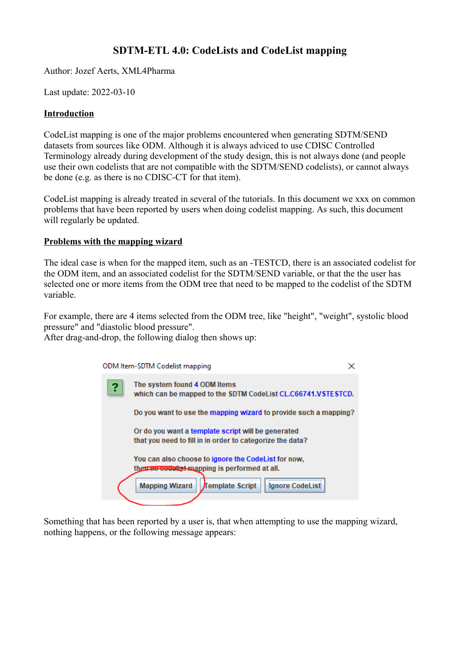# **SDTM-ETL 4.0: CodeLists and CodeList mapping**

Author: Jozef Aerts, XML4Pharma

Last update: 2022-03-10

### **Introduction**

CodeList mapping is one of the major problems encountered when generating SDTM/SEND datasets from sources like ODM. Although it is always adviced to use CDISC Controlled Terminology already during development of the study design, this is not always done (and people use their own codelists that are not compatible with the SDTM/SEND codelists), or cannot always be done (e.g. as there is no CDISC-CT for that item).

CodeList mapping is already treated in several of the tutorials. In this document we xxx on common problems that have been reported by users when doing codelist mapping. As such, this document will regularly be updated.

### **Problems with the mapping wizard**

The ideal case is when for the mapped item, such as an -TESTCD, there is an associated codelist for the ODM item, and an associated codelist for the SDTM/SEND variable, or that the the user has selected one or more items from the ODM tree that need to be mapped to the codelist of the SDTM variable.

For example, there are 4 items selected from the ODM tree, like "height", "weight", systolic blood pressure" and "diastolic blood pressure".

After drag-and-drop, the following dialog then shows up:

|   | ODM Item-SDTM Codelist mapping                                                                                  |  |
|---|-----------------------------------------------------------------------------------------------------------------|--|
| ? | The system found 4 ODM Items<br>which can be mapped to the SDTM CodeList CL.C66741.VSTESTCD.                    |  |
|   | Do you want to use the mapping wizard to provide such a mapping?                                                |  |
|   | Or do you want a template script will be generated<br>that you need to fill in in order to categorize the data? |  |
|   | You can also choose to ignore the CodeList for now,<br>then no codulist mapping is performed at all.            |  |
|   | Ignore CodeList<br>Template Script<br><b>Mapping Wizard</b>                                                     |  |
|   |                                                                                                                 |  |

Something that has been reported by a user is, that when attempting to use the mapping wizard, nothing happens, or the following message appears: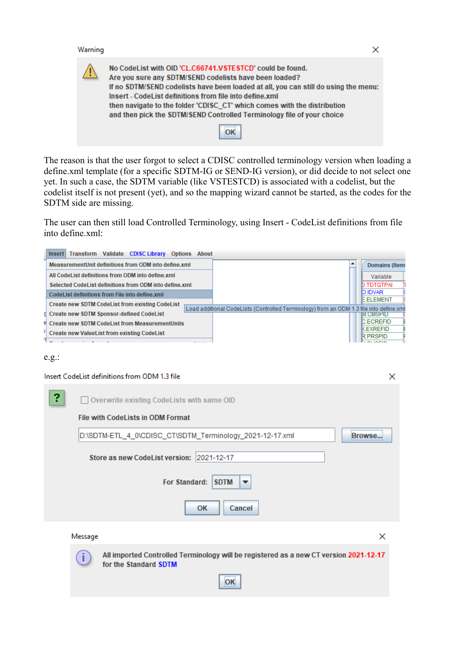#### Warning

Z

| ≙ | No CodeList with OID 'CL.C66741.VSTESTCD' could be found.<br>Are you sure any SDTM/SEND codelists have been loaded?<br>If no SDTM/SEND codelists have been loaded at all, you can still do using the menu:<br>Insert - CodeList definitions from file into define.xml<br>then navigate to the folder 'CDISC_CT' which comes with the distribution<br>and then pick the SDTM/SEND Controlled Terminology file of your choice |
|---|-----------------------------------------------------------------------------------------------------------------------------------------------------------------------------------------------------------------------------------------------------------------------------------------------------------------------------------------------------------------------------------------------------------------------------|
|   | OK                                                                                                                                                                                                                                                                                                                                                                                                                          |

The reason is that the user forgot to select a CDISC controlled terminology version when loading a define.xml template (for a specific SDTM-IG or SEND-IG version), or did decide to not select one yet. In such a case, the SDTM variable (like VSTESTCD) is associated with a codelist, but the codelist itself is not present (yet), and so the mapping wizard cannot be started, as the codes for the SDTM side are missing.

The user can then still load Controlled Terminology, using Insert - CodeList definitions from file into define.xml:



#### e.g.:

#### Insert CodeList definitions from ODM 1.3 file

| የ | Overwrite existing CodeLists with same OID                                                                           |
|---|----------------------------------------------------------------------------------------------------------------------|
|   | <b>File with CodeLists in ODM Format</b>                                                                             |
|   | D:\SDTM-ETL_4_0\CDISC_CT\SDTM_Terminology_2021-12-17.xml<br>Browse                                                   |
|   | Store as new CodeList version: 2021-12-17                                                                            |
|   | For Standard:<br><b>SDTM</b><br>$\overline{\phantom{a}}$                                                             |
|   | <b>OK</b><br>Cancel                                                                                                  |
|   | ×<br>Message                                                                                                         |
|   | All imported Controlled Terminology will be registered as a new CT version 2021-12-17<br>Ĭ.<br>for the Standard SDTM |
|   | OК                                                                                                                   |

 $\times$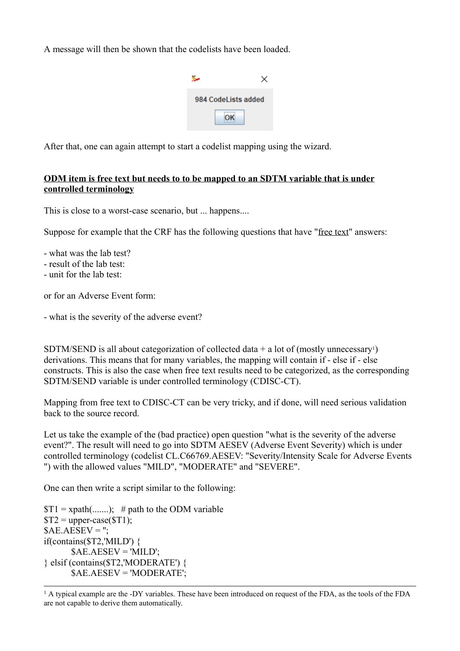A message will then be shown that the codelists have been loaded.

<span id="page-2-1"></span>

| 984 CodeLists added |  |
|---------------------|--|
|                     |  |

After that, one can again attempt to start a codelist mapping using the wizard.

## **ODM item is free text but needs to to be mapped to an SDTM variable that is under controlled terminology**

This is close to a worst-case scenario, but ... happens....

Suppose for example that the CRF has the following questions that have "free text" answers:

- what was the lab test?

- result of the lab test:
- unit for the lab test:

or for an Adverse Event form:

- what is the severity of the adverse event?

SDTM/SEND is all about categorization of collected data  $+$  a lot of (mostly unnecessary<sup>[1](#page-2-0)</sup>) derivations. This means that for many variables, the mapping will contain if - else if - else constructs. This is also the case when free text results need to be categorized, as the corresponding SDTM/SEND variable is under controlled terminology (CDISC-CT).

Mapping from free text to CDISC-CT can be very tricky, and if done, will need serious validation back to the source record.

Let us take the example of the (bad practice) open question "what is the severity of the adverse event?". The result will need to go into SDTM AESEV (Adverse Event Severity) which is under controlled terminology (codelist CL.C66769.AESEV: "Severity/Intensity Scale for Adverse Events ") with the allowed values "MILD", "MODERATE" and "SEVERE".

One can then write a script similar to the following:

 $T_1 = \text{xpath}(\dots)$ ; # path to the ODM variable  $T2 = upper-case (ST1);$  $$AE.AESEV = ";$ if(contains(\$T2,'MILD') {  $$AE.AESEV = 'MILD';$ } elsif (contains(\$T2,'MODERATE') { \$AE.AESEV = 'MODERATE';

<span id="page-2-0"></span><sup>&</sup>lt;sup>1</sup> A typical example are the -DY variables. These have been introduced on request of the FDA, as the tools of the FDA are not capable to derive them [automatically.](#page-2-1)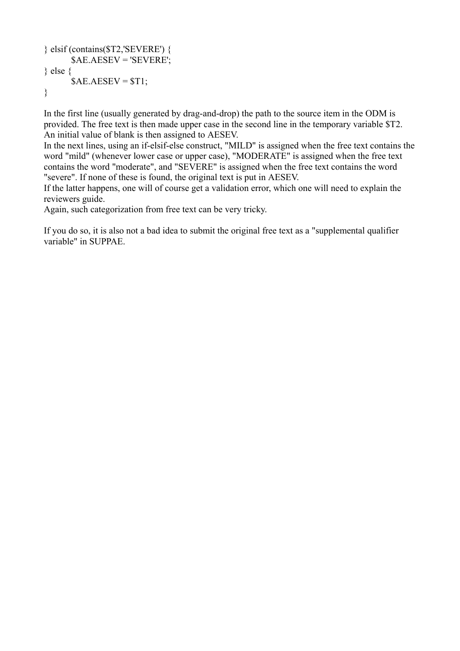```
} elsif (contains($T2,'SEVERE') {
      $AE.AESEV = 'SEVERE';
} else {
      $AE.AESEV = $T1;}
```
In the first line (usually generated by drag-and-drop) the path to the source item in the ODM is provided. The free text is then made upper case in the second line in the temporary variable \$T2. An initial value of blank is then assigned to AESEV.

In the next lines, using an if-elsif-else construct, "MILD" is assigned when the free text contains the word "mild" (whenever lower case or upper case), "MODERATE" is assigned when the free text contains the word "moderate", and "SEVERE" is assigned when the free text contains the word "severe". If none of these is found, the original text is put in AESEV.

If the latter happens, one will of course get a validation error, which one will need to explain the reviewers guide.

Again, such categorization from free text can be very tricky.

If you do so, it is also not a bad idea to submit the original free text as a "supplemental qualifier variable" in SUPPAE.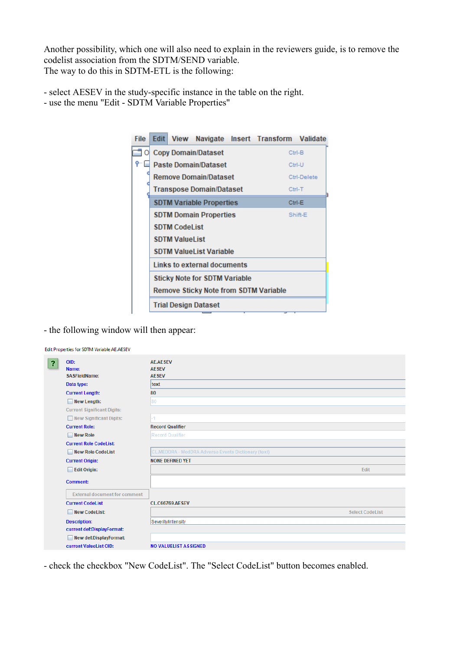Another possibility, which one will also need to explain in the reviewers guide, is to remove the codelist association from the SDTM/SEND variable. The way to do this in SDTM-ETL is the following:

- select AESEV in the study-specific instance in the table on the right.

- use the menu "Edit - SDTM Variable Properties"



- the following window will then appear:

|                                                                                | Edit Properties for SDTM Variable AE.AESEV |                                                     |  |
|--------------------------------------------------------------------------------|--------------------------------------------|-----------------------------------------------------|--|
| OID:<br>$\overline{\mathbf{3}}$<br>Name:<br><b>SASFieldName:</b><br>Data type: |                                            | <b>AE.AESEV</b><br><b>AESEV</b><br><b>AESEV</b>     |  |
|                                                                                |                                            | text                                                |  |
|                                                                                | <b>Current Length:</b>                     | 80                                                  |  |
|                                                                                | $\Box$ New Length:                         | 80                                                  |  |
|                                                                                | <b>Current Significant Digits:</b>         |                                                     |  |
|                                                                                | New Significant Digits:                    | -1                                                  |  |
|                                                                                | <b>Current Role:</b>                       | <b>Record Qualifier</b>                             |  |
|                                                                                | $\Box$ New Role                            | Record Qualifier                                    |  |
|                                                                                | <b>Current Role CodeList:</b>              |                                                     |  |
|                                                                                | New Role CodeList                          | CL.MEDDRA - MedDRA Adverse Events Dictionary (text) |  |
|                                                                                | <b>Current Origin:</b>                     | <b>NONE DEFINED YET</b>                             |  |
|                                                                                | $\Box$ Edit Origin:                        | Edit                                                |  |
|                                                                                | <b>Comment:</b>                            |                                                     |  |
|                                                                                | <b>External document for comment</b>       |                                                     |  |
|                                                                                | <b>Current CodeList</b>                    | <b>CL.C66769.AESEV</b>                              |  |
| <b>New CodeList:</b><br><b>.</b>                                               |                                            | <b>Select CodeList</b>                              |  |
|                                                                                | <b>Description:</b>                        | Severity/Intensity                                  |  |
|                                                                                | current def:DisplayFormat:                 |                                                     |  |
|                                                                                | New def:DisplayFormat:                     |                                                     |  |
|                                                                                | current ValueList OID:                     | <b>NO VALUELIST ASSIGNED</b>                        |  |

- check the checkbox "New CodeList". The "Select CodeList" button becomes enabled.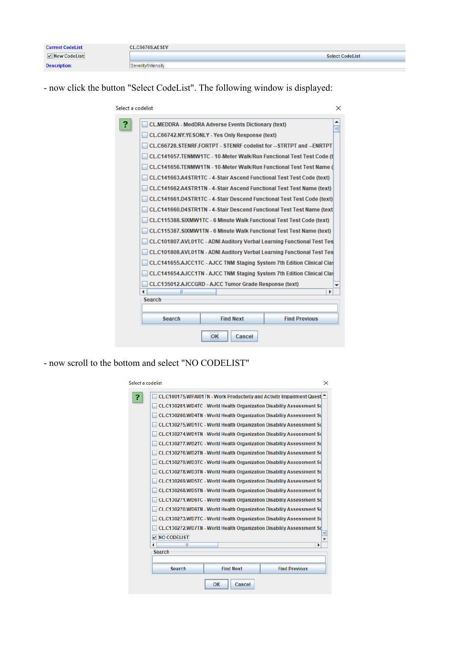| <b>Current CodeList</b>        | <b>CL.C66769.AESEV</b> |
|--------------------------------|------------------------|
| $\triangleright$ New CodeList: | <b>Select CodeList</b> |
| <b>Description:</b>            | Severity/Intensity     |

- now click the button "Select CodeList". The following window is displayed:

| Select a codelist |                                                            |                  |                                                                        | $\times$ |
|-------------------|------------------------------------------------------------|------------------|------------------------------------------------------------------------|----------|
| R                 | <b>CL.MEDDRA - MedDRA Adverse Events Dictionary (text)</b> |                  |                                                                        | ≡        |
|                   | CL.C66742.NY.YESONLY - Yes Only Response (text)            |                  |                                                                        |          |
|                   |                                                            |                  | CL.C66728.STENRF.FORTPT - STENRF codelist for -- STRTPT and -- ENRTPT  |          |
|                   |                                                            |                  | CL.C141657.TENMW1TC - 10-Meter Walk/Run Functional Test Test Code (t)  |          |
|                   |                                                            |                  | CL.C141656.TENMW1TN - 10-Meter Walk/Run Functional Test Test Name (    |          |
|                   |                                                            |                  | CL.C141663.A4STR1TC - 4-Stair Ascend Functional Test Test Code (text)  |          |
|                   |                                                            |                  | CL.C141662.A4STR1TN - 4-Stair Ascend Functional Test Test Name (text)  |          |
|                   |                                                            |                  | CL.C141661.D4STR1TC - 4-Stair Descend Functional Test Test Code (text) |          |
|                   |                                                            |                  | CL.C141660.D4STR1TN - 4-Stair Descend Functional Test Test Name (text) |          |
|                   |                                                            |                  | CL.C115388.SIXMW1TC - 6 Minute Walk Functional Test Test Code (text)   |          |
|                   |                                                            |                  | CL.C115387.SIXMW1TN - 6 Minute Walk Functional Test Test Name (text)   |          |
|                   |                                                            |                  | CL.C101807.AVL01TC - ADNI Auditory Verbal Learning Functional Test Tes |          |
|                   |                                                            |                  | CL.C101808.AVL01TN - ADNI Auditory Verbal Learning Functional Test Tes |          |
|                   |                                                            |                  | CL.C141655.AJCC1TC - AJCC TNM Staging System 7th Edition Clinical Clas |          |
|                   |                                                            |                  | CL.C141654.AJCC1TN - AJCC TNM Staging System 7th Edition Clinical Clas |          |
|                   | CL.C135012.AJCCGRD - AJCC Tumor Grade Response (text)      |                  |                                                                        |          |
|                   | Ш<br><b>Search</b>                                         |                  | Þ                                                                      |          |
|                   |                                                            |                  |                                                                        |          |
|                   | <b>Search</b>                                              | <b>Find Next</b> | <b>Find Previous</b>                                                   |          |
|                   |                                                            | OK<br>Cancel     |                                                                        |          |

- now scroll to the bottom and select "NO CODELIST"

| Select a codelist |                      |                  | ×                                                                                                                                                                                                                                                                                                                                                                                                                                                                                                                                                                                                                                                                                                                                                                                                                                                                                                                     |
|-------------------|----------------------|------------------|-----------------------------------------------------------------------------------------------------------------------------------------------------------------------------------------------------------------------------------------------------------------------------------------------------------------------------------------------------------------------------------------------------------------------------------------------------------------------------------------------------------------------------------------------------------------------------------------------------------------------------------------------------------------------------------------------------------------------------------------------------------------------------------------------------------------------------------------------------------------------------------------------------------------------|
| 2                 |                      |                  | CL.C100175.WPAI01TN - Work Productivity and Activity Impairment Quest <sup>▲</sup><br>CL.C130281.WD4TC - World Health Organization Disability Assessment Sd<br>CL.C130280.WD4TN - World Health Organization Disability Assessment Sd<br>CL.C130275.WD1TC - World Health Organization Disability Assessment Sd<br>CL.C130274.WD1TN - World Health Organization Disability Assessment Sd<br>CL.C130277.WD2TC - World Health Organization Disability Assessment Sd<br>CL.C130276.WD2TN - World Health Organization Disability Assessment Sd<br>CL.C130279.WD3TC - World Health Organization Disability Assessment Sd<br>CL.C130278.WD3TN - World Health Organization Disability Assessment Sd<br>CL.C130269.WD5TC - World Health Organization Disability Assessment Sd<br>CL.C130268.WD5TN - World Health Organization Disability Assessment Sd<br>CL.C130271.WD6TC - World Health Organization Disability Assessment Sd |
|                   | $V$ NO CODELIST<br>Ш |                  | CL.C130270.WD6TN - World Health Organization Disability Assessment Sd<br>CL.C130273.WD7TC - World Health Organization Disability Assessment Sd<br>CL.C130272.WD7TN - World Health Organization Disability Assessment Sd<br>Þ                                                                                                                                                                                                                                                                                                                                                                                                                                                                                                                                                                                                                                                                                          |
|                   | <b>Search</b>        |                  |                                                                                                                                                                                                                                                                                                                                                                                                                                                                                                                                                                                                                                                                                                                                                                                                                                                                                                                       |
|                   | <b>Search</b>        | <b>Find Next</b> | <b>Find Previous</b>                                                                                                                                                                                                                                                                                                                                                                                                                                                                                                                                                                                                                                                                                                                                                                                                                                                                                                  |
|                   |                      | OK<br>Cancel     |                                                                                                                                                                                                                                                                                                                                                                                                                                                                                                                                                                                                                                                                                                                                                                                                                                                                                                                       |